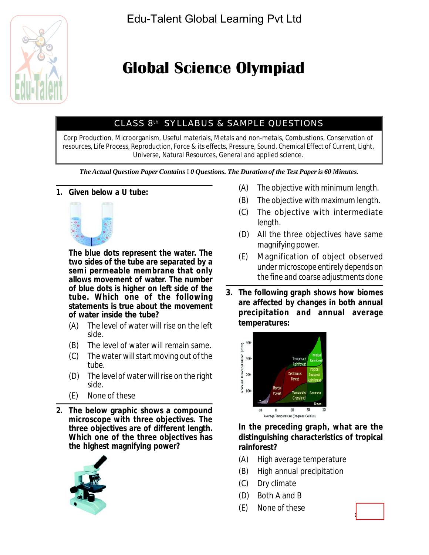

# **Global Science Olympiad**

## CLASS 8th SYLLABUS & SAMPLE QUESTIONS

Corp Production, Microorganism, Useful materials, Metals and non-metals, Combustions, Conservation of resources, Life Process, Reproduction, Force & its effects, Pressure, Sound, Chemical Effect of Current, Light, Universe, Natural Resources, General and applied science.

*The Actual Question Paper Contains 0 Questions. The Duration of the Test Paper is 60 Minutes.*

#### **1. Given below a U tube:**



**The blue dots represent the water. The two sides of the tube are separated by a semi permeable membrane that only allows movement of water. The number of blue dots is higher on left side of the tube. Which one of the following statements is true about the movement of water inside the tube?**

- (A) The level of water will rise on the left side.
- (B) The level of water will remain same.
- (C) The water will start moving out of the tube.
- (D) The level of water will rise on the right side.
- (E) None of these
- **2. The below graphic shows a compound microscope with three objectives. The three objectives are of different length. Which one of the three objectives has the highest magnifying power?**



- (A) The objective with minimum length.
- (B) The objective with maximum length.
- (C) The objective with intermediate length.
- (D) All the three objectives have same magnifying power.
- (E) Magnification of object observed under microscope entirely depends on the fine and coarse adjustments done
- **3. The following graph shows how biomes are affected by changes in both annual precipitation and annual average temperatures:**



**In the preceding graph, what are the distinguishing characteristics of tropical rainforest?**

- (A) High average temperature
- (B) High annual precipitation
- (C) Dry climate
- (D) Both A and B
- (E) None of these

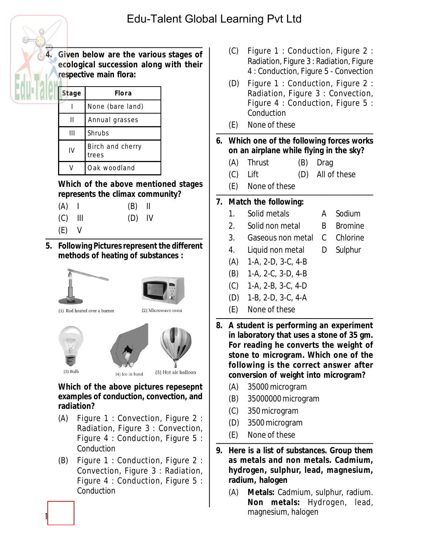

**4. Given below are the various stages of ecological succession along with their respective main flora:**

| Stage | Flora                     |  |  |  |  |  |  |
|-------|---------------------------|--|--|--|--|--|--|
|       | None (bare land)          |  |  |  |  |  |  |
| н     | Annual grasses            |  |  |  |  |  |  |
| Ш     | Shrubs                    |  |  |  |  |  |  |
| IV    | Birch and cherry<br>trees |  |  |  |  |  |  |
|       | Oak woodland              |  |  |  |  |  |  |

**Which of the above mentioned stages represents the climax community?**

- $(A)$  |  $(B)$  ||
- (C) III (D) IV
- $(E)$  V
- **5. Following Pictures represent the different methods of heating of substances :**





(1) Rod heated over a burner

(2) Microwave oven



**Which of the above pictures repesepnt examples of conduction, convection, and radiation?**

- (A) Figure 1 : Convection, Figure 2 : Radiation, Figure 3 : Convection, Figure 4 : Conduction, Figure 5 : **Conduction**
- (B) Figure 1 : Conduction, Figure 2 : Convection, Figure 3 : Radiation, Figure 4 : Conduction, Figure 5 : Conduction
- (C) Figure 1 : Conduction, Figure 2 : Radiation, Figure 3 : Radiation, Figure 4 : Conduction, Figure 5 - Convection
- (D) Figure 1 : Conduction, Figure 2 : Radiation, Figure 3 : Convection, Figure 4 : Conduction, Figure 5 : **Conduction**
- (E) None of these
- **6. Which one of the following forces works on an airplane while flying in the sky?**
	- (A) Thrust (B) Drag
	- (C) Lift (D) All of these
	- (E) None of these

## **7. Match the following:**

- 1. Solid metals A Sodium
- 2. Solid non metal B Bromine
- 3. Gaseous non metal C Chlorine
- 4. Liquid non metal D Sulphur
- (A) 1-A, 2-D, 3-C, 4-B
- (B) 1-A, 2-C, 3-D, 4-B
- (C) 1-A, 2-B, 3-C, 4-D
- (D) 1-B, 2-D, 3-C, 4-A
- (E) None of these
- **8. A student is performing an experiment in laboratory that uses a stone of 35 gm. For reading he converts the weight of stone to microgram. Which one of the following is the correct answer after conversion of weight into microgram?**
	- (A) 35000 microgram
	- (B) 35000000 microgram
	- (C) 350 microgram
	- (D) 3500 microgram
	- (E) None of these
- **9. Here is a list of substances. Group them as metals and non metals. Cadmium, hydrogen, sulphur, lead, magnesium, radium, halogen**
	- (A) **Metals:** Cadmium, sulphur, radium. **Non metals:** Hydrogen, lead, magnesium, halogen